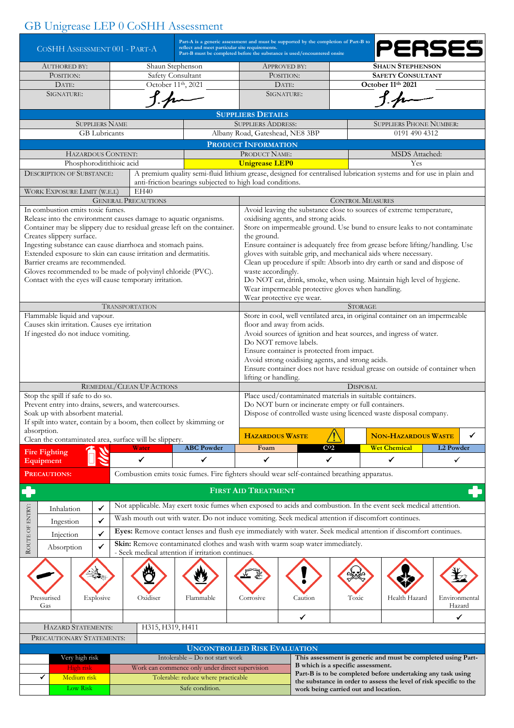## GB Unigrease LEP 0 CoSHH Assessment

| COSHH ASSESSMENT 001 - PART-A                                                                                                |                                                                                                                                           |                            | Part-A is a generic assessment and must be supported by the completion of Part-B to<br>reflect and meet particular site requirements.<br>Part-B must be completed before the substance is used/encountered onsite |                                                                                                     |                                                                                                                                   |                                                   |                                                                                                                                                 |                  |  |  |  |  |
|------------------------------------------------------------------------------------------------------------------------------|-------------------------------------------------------------------------------------------------------------------------------------------|----------------------------|-------------------------------------------------------------------------------------------------------------------------------------------------------------------------------------------------------------------|-----------------------------------------------------------------------------------------------------|-----------------------------------------------------------------------------------------------------------------------------------|---------------------------------------------------|-------------------------------------------------------------------------------------------------------------------------------------------------|------------------|--|--|--|--|
| <b>AUTHORED BY:</b>                                                                                                          |                                                                                                                                           | Shaun Stephenson           |                                                                                                                                                                                                                   |                                                                                                     | <b>APPROVED BY:</b>                                                                                                               |                                                   | <b>SHAUN STEPHENSON</b>                                                                                                                         |                  |  |  |  |  |
| POSITION:                                                                                                                    |                                                                                                                                           | <b>Safety Consultant</b>   |                                                                                                                                                                                                                   | POSITION:                                                                                           |                                                                                                                                   | <b>SAFETY CONSULTANT</b>                          |                                                                                                                                                 |                  |  |  |  |  |
| DATE:                                                                                                                        |                                                                                                                                           | October 11th, 2021         |                                                                                                                                                                                                                   |                                                                                                     | DATE:                                                                                                                             | October 11th 2021                                 |                                                                                                                                                 |                  |  |  |  |  |
| SIGNATURE:                                                                                                                   |                                                                                                                                           |                            |                                                                                                                                                                                                                   |                                                                                                     | SIGNATURE:                                                                                                                        |                                                   |                                                                                                                                                 |                  |  |  |  |  |
|                                                                                                                              |                                                                                                                                           |                            |                                                                                                                                                                                                                   |                                                                                                     |                                                                                                                                   |                                                   |                                                                                                                                                 |                  |  |  |  |  |
|                                                                                                                              |                                                                                                                                           |                            |                                                                                                                                                                                                                   | <b>SUPPLIERS DETAILS</b>                                                                            |                                                                                                                                   |                                                   |                                                                                                                                                 |                  |  |  |  |  |
| <b>SUPPLIERS NAME</b>                                                                                                        |                                                                                                                                           |                            |                                                                                                                                                                                                                   | <b>SUPPLIERS ADDRESS:</b>                                                                           | <b>SUPPLIERS PHONE NUMBER:</b>                                                                                                    |                                                   |                                                                                                                                                 |                  |  |  |  |  |
| GB Lubricants                                                                                                                |                                                                                                                                           |                            |                                                                                                                                                                                                                   |                                                                                                     | Albany Road, Gateshead, NE8 3BP<br>0191 490 4312                                                                                  |                                                   |                                                                                                                                                 |                  |  |  |  |  |
|                                                                                                                              |                                                                                                                                           |                            |                                                                                                                                                                                                                   | <b>PRODUCT INFORMATION</b>                                                                          |                                                                                                                                   |                                                   |                                                                                                                                                 |                  |  |  |  |  |
| HAZARDOUS CONTENT:<br>Phosphoroditithioic acid                                                                               |                                                                                                                                           |                            |                                                                                                                                                                                                                   | PRODUCT NAME:                                                                                       |                                                                                                                                   |                                                   | MSDS Attached:                                                                                                                                  |                  |  |  |  |  |
|                                                                                                                              |                                                                                                                                           |                            |                                                                                                                                                                                                                   | <b>Unigrease LEP0</b>                                                                               |                                                                                                                                   |                                                   | Yes                                                                                                                                             |                  |  |  |  |  |
| <b>DESCRIPTION OF SUBSTANCE:</b>                                                                                             |                                                                                                                                           |                            | A premium quality semi-fluid lithium grease, designed for centralised lubrication systems and for use in plain and<br>anti-friction bearings subjected to high load conditions.                                   |                                                                                                     |                                                                                                                                   |                                                   |                                                                                                                                                 |                  |  |  |  |  |
| WORK EXPOSURE LIMIT (W.E.L)                                                                                                  |                                                                                                                                           | EH40                       |                                                                                                                                                                                                                   |                                                                                                     |                                                                                                                                   |                                                   |                                                                                                                                                 |                  |  |  |  |  |
|                                                                                                                              |                                                                                                                                           | <b>GENERAL PRECAUTIONS</b> |                                                                                                                                                                                                                   | <b>CONTROL MEASURES</b>                                                                             |                                                                                                                                   |                                                   |                                                                                                                                                 |                  |  |  |  |  |
| In combustion emits toxic fumes.                                                                                             |                                                                                                                                           |                            |                                                                                                                                                                                                                   | Avoid leaving the substance close to sources of extreme temperature,                                |                                                                                                                                   |                                                   |                                                                                                                                                 |                  |  |  |  |  |
| Release into the environment causes damage to aquatic organisms.                                                             |                                                                                                                                           |                            |                                                                                                                                                                                                                   |                                                                                                     | oxidising agents, and strong acids.                                                                                               |                                                   |                                                                                                                                                 |                  |  |  |  |  |
| Container may be slippery due to residual grease left on the container.                                                      |                                                                                                                                           |                            |                                                                                                                                                                                                                   |                                                                                                     | Store on impermeable ground. Use bund to ensure leaks to not contaminate                                                          |                                                   |                                                                                                                                                 |                  |  |  |  |  |
| Creates slippery surface.                                                                                                    |                                                                                                                                           |                            |                                                                                                                                                                                                                   | the ground.                                                                                         |                                                                                                                                   |                                                   |                                                                                                                                                 |                  |  |  |  |  |
| Ingesting substance can cause diarrhoea and stomach pains.<br>Extended exposure to skin can cause irritation and dermatitis. |                                                                                                                                           |                            |                                                                                                                                                                                                                   |                                                                                                     |                                                                                                                                   |                                                   | Ensure container is adequately free from grease before lifting/handling. Use<br>gloves with suitable grip, and mechanical aids where necessary. |                  |  |  |  |  |
| Barrier creams are recommended.                                                                                              |                                                                                                                                           |                            |                                                                                                                                                                                                                   |                                                                                                     |                                                                                                                                   |                                                   | Clean up procedure if spilt: Absorb into dry earth or sand and dispose of                                                                       |                  |  |  |  |  |
| Gloves recommended to be made of polyvinyl chloride (PVC).                                                                   |                                                                                                                                           |                            |                                                                                                                                                                                                                   | waste accordingly.                                                                                  |                                                                                                                                   |                                                   |                                                                                                                                                 |                  |  |  |  |  |
| Contact with the eyes will cause temporary irritation.                                                                       |                                                                                                                                           |                            |                                                                                                                                                                                                                   |                                                                                                     |                                                                                                                                   |                                                   | Do NOT eat, drink, smoke, when using. Maintain high level of hygiene.                                                                           |                  |  |  |  |  |
|                                                                                                                              |                                                                                                                                           |                            |                                                                                                                                                                                                                   |                                                                                                     |                                                                                                                                   | Wear impermeable protective gloves when handling. |                                                                                                                                                 |                  |  |  |  |  |
|                                                                                                                              |                                                                                                                                           |                            |                                                                                                                                                                                                                   | Wear protective eye wear.                                                                           |                                                                                                                                   |                                                   |                                                                                                                                                 |                  |  |  |  |  |
| Flammable liquid and vapour.                                                                                                 |                                                                                                                                           | <b>TRANSPORTATION</b>      |                                                                                                                                                                                                                   |                                                                                                     | <b>STORAGE</b><br>Store in cool, well ventilated area, in original container on an impermeable                                    |                                                   |                                                                                                                                                 |                  |  |  |  |  |
| Causes skin irritation. Causes eye irritation                                                                                |                                                                                                                                           |                            |                                                                                                                                                                                                                   | floor and away from acids.                                                                          |                                                                                                                                   |                                                   |                                                                                                                                                 |                  |  |  |  |  |
| If ingested do not induce vomiting.                                                                                          |                                                                                                                                           |                            |                                                                                                                                                                                                                   | Avoid sources of ignition and heat sources, and ingress of water.                                   |                                                                                                                                   |                                                   |                                                                                                                                                 |                  |  |  |  |  |
|                                                                                                                              |                                                                                                                                           |                            |                                                                                                                                                                                                                   |                                                                                                     | Do NOT remove labels.                                                                                                             |                                                   |                                                                                                                                                 |                  |  |  |  |  |
|                                                                                                                              |                                                                                                                                           |                            |                                                                                                                                                                                                                   |                                                                                                     | Ensure container is protected from impact.                                                                                        |                                                   |                                                                                                                                                 |                  |  |  |  |  |
|                                                                                                                              |                                                                                                                                           |                            |                                                                                                                                                                                                                   |                                                                                                     | Avoid strong oxidising agents, and strong acids.                                                                                  |                                                   |                                                                                                                                                 |                  |  |  |  |  |
|                                                                                                                              |                                                                                                                                           |                            |                                                                                                                                                                                                                   | Ensure container does not have residual grease on outside of container when<br>lifting or handling. |                                                                                                                                   |                                                   |                                                                                                                                                 |                  |  |  |  |  |
|                                                                                                                              |                                                                                                                                           | REMEDIAL/CLEAN UP ACTIONS  |                                                                                                                                                                                                                   |                                                                                                     | <b>DISPOSAL</b>                                                                                                                   |                                                   |                                                                                                                                                 |                  |  |  |  |  |
| Stop the spill if safe to do so.                                                                                             |                                                                                                                                           |                            |                                                                                                                                                                                                                   | Place used/contaminated materials in suitable containers.                                           |                                                                                                                                   |                                                   |                                                                                                                                                 |                  |  |  |  |  |
| Prevent entry into drains, sewers, and watercourses.                                                                         |                                                                                                                                           |                            |                                                                                                                                                                                                                   | Do NOT burn or incinerate empty or full containers.                                                 |                                                                                                                                   |                                                   |                                                                                                                                                 |                  |  |  |  |  |
| Soak up with absorbent material.                                                                                             |                                                                                                                                           |                            |                                                                                                                                                                                                                   | Dispose of controlled waste using licenced waste disposal company.                                  |                                                                                                                                   |                                                   |                                                                                                                                                 |                  |  |  |  |  |
| If spilt into water, contain by a boom, then collect by skimming or                                                          |                                                                                                                                           |                            |                                                                                                                                                                                                                   |                                                                                                     |                                                                                                                                   |                                                   |                                                                                                                                                 |                  |  |  |  |  |
| absorption.<br>Clean the contaminated area, surface will be slippery.                                                        |                                                                                                                                           |                            |                                                                                                                                                                                                                   | <b>HAZARDOUS WASTE</b>                                                                              |                                                                                                                                   |                                                   | <b>NON-HAZARDOUS WASTE</b>                                                                                                                      | ✓                |  |  |  |  |
|                                                                                                                              |                                                                                                                                           | Water                      | <b>ABC Powder</b>                                                                                                                                                                                                 | Foam                                                                                                |                                                                                                                                   | C <sub>02</sub>                                   | <b>Wet Chemical</b>                                                                                                                             | <b>L2 Powder</b> |  |  |  |  |
| <b>Fire Fighting</b><br>Equipment                                                                                            |                                                                                                                                           | ✓                          | ✓                                                                                                                                                                                                                 | ✓                                                                                                   |                                                                                                                                   | ✓                                                 | ✓                                                                                                                                               | ✓                |  |  |  |  |
|                                                                                                                              |                                                                                                                                           |                            |                                                                                                                                                                                                                   |                                                                                                     |                                                                                                                                   |                                                   |                                                                                                                                                 |                  |  |  |  |  |
| <b>PRECAUTIONS:</b>                                                                                                          |                                                                                                                                           |                            | Combustion emits toxic fumes. Fire fighters should wear self-contained breathing apparatus.                                                                                                                       |                                                                                                     |                                                                                                                                   |                                                   |                                                                                                                                                 |                  |  |  |  |  |
|                                                                                                                              |                                                                                                                                           |                            |                                                                                                                                                                                                                   | <b>FIRST AID TREATMENT</b>                                                                          |                                                                                                                                   |                                                   |                                                                                                                                                 |                  |  |  |  |  |
|                                                                                                                              |                                                                                                                                           |                            |                                                                                                                                                                                                                   |                                                                                                     |                                                                                                                                   |                                                   |                                                                                                                                                 |                  |  |  |  |  |
| Inhalation                                                                                                                   | ✓                                                                                                                                         |                            | Not applicable. May exert toxic fumes when exposed to acids and combustion. In the event seek medical attention.                                                                                                  |                                                                                                     |                                                                                                                                   |                                                   |                                                                                                                                                 |                  |  |  |  |  |
| Ingestion                                                                                                                    | ✓                                                                                                                                         |                            | Wash mouth out with water. Do not induce vomiting. Seek medical attention if discomfort continues.                                                                                                                |                                                                                                     |                                                                                                                                   |                                                   |                                                                                                                                                 |                  |  |  |  |  |
| Injection                                                                                                                    | ROUTE OF ENTRY:<br>Eyes: Remove contact lenses and flush eye immediately with water. Seek medical attention if discomfort continues.<br>✓ |                            |                                                                                                                                                                                                                   |                                                                                                     |                                                                                                                                   |                                                   |                                                                                                                                                 |                  |  |  |  |  |
|                                                                                                                              | $\checkmark$                                                                                                                              |                            | Skin: Remove contaminated clothes and wash with warm soap water immediately.                                                                                                                                      |                                                                                                     |                                                                                                                                   |                                                   |                                                                                                                                                 |                  |  |  |  |  |
| Absorption                                                                                                                   |                                                                                                                                           |                            | - Seek medical attention if irritation continues.                                                                                                                                                                 |                                                                                                     |                                                                                                                                   |                                                   |                                                                                                                                                 |                  |  |  |  |  |
|                                                                                                                              |                                                                                                                                           |                            |                                                                                                                                                                                                                   |                                                                                                     |                                                                                                                                   |                                                   |                                                                                                                                                 |                  |  |  |  |  |
|                                                                                                                              |                                                                                                                                           |                            |                                                                                                                                                                                                                   |                                                                                                     |                                                                                                                                   |                                                   |                                                                                                                                                 |                  |  |  |  |  |
|                                                                                                                              |                                                                                                                                           |                            |                                                                                                                                                                                                                   |                                                                                                     |                                                                                                                                   |                                                   |                                                                                                                                                 |                  |  |  |  |  |
| Pressurised                                                                                                                  | Explosive                                                                                                                                 | Oxidiser                   | Flammable                                                                                                                                                                                                         | Corrosive                                                                                           | Caution                                                                                                                           | Toxic                                             | Health Hazard                                                                                                                                   | Environmental    |  |  |  |  |
| Gas                                                                                                                          |                                                                                                                                           |                            |                                                                                                                                                                                                                   |                                                                                                     |                                                                                                                                   |                                                   |                                                                                                                                                 | Hazard           |  |  |  |  |
|                                                                                                                              |                                                                                                                                           |                            |                                                                                                                                                                                                                   |                                                                                                     | ✔                                                                                                                                 |                                                   |                                                                                                                                                 | ✓                |  |  |  |  |
| <b>HAZARD STATEMENTS:</b>                                                                                                    |                                                                                                                                           | H315, H319, H411           |                                                                                                                                                                                                                   |                                                                                                     |                                                                                                                                   |                                                   |                                                                                                                                                 |                  |  |  |  |  |
| PRECAUTIONARY STATEMENTS:                                                                                                    |                                                                                                                                           |                            |                                                                                                                                                                                                                   |                                                                                                     |                                                                                                                                   |                                                   |                                                                                                                                                 |                  |  |  |  |  |
|                                                                                                                              |                                                                                                                                           |                            | <b>UNCONTROLLED RISK EVALUATION</b>                                                                                                                                                                               |                                                                                                     |                                                                                                                                   |                                                   |                                                                                                                                                 |                  |  |  |  |  |
| Very high risk                                                                                                               |                                                                                                                                           |                            | Intolerable - Do not start work                                                                                                                                                                                   |                                                                                                     |                                                                                                                                   |                                                   | This assessment is generic and must be completed using Part-                                                                                    |                  |  |  |  |  |
| High risk                                                                                                                    |                                                                                                                                           |                            | Work can commence only under direct supervision                                                                                                                                                                   |                                                                                                     | B which is a specific assessment.                                                                                                 |                                                   |                                                                                                                                                 |                  |  |  |  |  |
| ✓<br>Medium risk                                                                                                             |                                                                                                                                           |                            | Tolerable: reduce where practicable                                                                                                                                                                               |                                                                                                     | Part-B is to be completed before undertaking any task using<br>the substance in order to assess the level of risk specific to the |                                                   |                                                                                                                                                 |                  |  |  |  |  |
| Low Risk                                                                                                                     |                                                                                                                                           |                            | Safe condition.                                                                                                                                                                                                   |                                                                                                     |                                                                                                                                   | work being carried out and location.              |                                                                                                                                                 |                  |  |  |  |  |
|                                                                                                                              |                                                                                                                                           |                            |                                                                                                                                                                                                                   |                                                                                                     |                                                                                                                                   |                                                   |                                                                                                                                                 |                  |  |  |  |  |